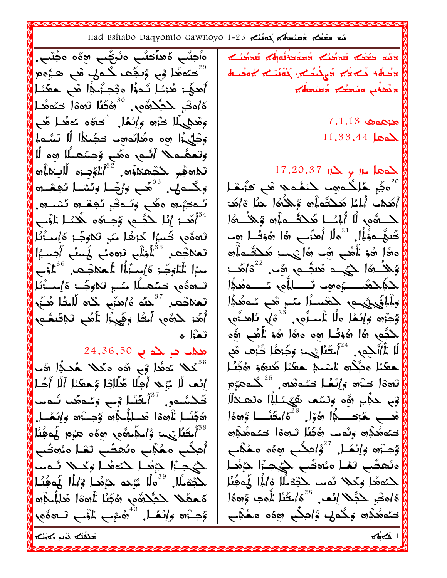Had Bshabo Daqyomto Gawnoyo 1-25 المناسبة المتعلِّمة بحفُث من

ەاُجلُّــ ەُھلَاحَلُّــ ەلُرْجُّـــ ، وەھ ەجُلْـــ . خَمُعَاهُ فِي وُبِعَمَا كُنْدَلِ مَنْ هَجْوَهِ  $\frac{2^9}{\pi^2}$ أَهدَم: هُـٰٓ: مُـٰٓدُا وَجَـٰٓ: هُا هُـِ ـِمحَمُّـا هُ/ەخْب<sub>ْ</sub> لِكَبُلاَهُى ٖ  $\sim$ ْهُكُنُا نَهوْاً حَمَّهُكُل وهُدْ مِنْ أَمْرَ مِنْ مِنْ أَنْ مِنْ مِنْ أَسْرِ مِنْ مِنْ أَسْرِ مِنْ مِنْ مِنْ مِنْ مِنْ مِنْ مِن وَجَلِّيٌّ أَ مِهِ مَعْالِّهِ مِنْ حَجَّىٰهُ ۖ لَا تَشْـٰهِۚ .<br>وَتَعَقَّــه لَه آَتَــه ه مَّــ وَّجِسَّـصَـلًا هِه لًّا<br>تَــهِ هِجْـهِـدَوْه عَلَيْهِ عَلَيْهِ مِنْ مِنْ الْبَـدَاهِ وڭــەلى. <sup>33</sup>مَـــ ورُجْــا ونَسْــا نَـْھـــدە ئــەنتەھ ەھُــى وَئــەنى ئەھــە ئىســە أَهَٰـ: إِنَّا حَثِّـهِ وَجِـهَم هَٰنَـا لَمْنَـو تَهِهُمِ خَسِيرًا كَبْطُلْ مِي تَكْوَجُمْ هَامِسَتُنَا لَع<sup>َ</sup>دْتُحِم ِ <sup>55</sup>َـلُوْلُـحِ لَ<sub>ا</sub>مَانُے ۖ لُِّسْبُ ﴾ِّجَسـبُّ |<br>مبُرا غُلَاوِجَــْ هَامِــنَّہُا غُـعَدَبَـصہ <sup>36</sup>َـلوْب لْـــ90ْ9 حَمَّـصَــلَّا مَـّـــ تَلاَوَجَـــ; كَامِــــَّأَنَّا  $\mathbf{\hat{a}}$ تَمَلاجَم ِ  $\mathbf{\hat{a}}^{37}$  دَمَه أَامَدُ اللَّهُ اللَّهُ اللَّهُ اللَّهُ اللَّهُ اللَّهُ ا أُهُدَ حَدُّوبٍ أَحُدُ وَفَيْءُا لَمُعَى تَجْتَعُفُمِي شم المخا هكات مركد به 24.36.50  $\sim$ كْلا كَمْعَا وْمِ 70 مَكْلا هُدْ الْهَ إِنَّمِ لَا يُبْحِدُ أُهِلًا مُخَلَّاجًا وَحِمَحُنَا أَلَّا أَجْـأَ .<br>تُكسُّدو ٱلۡمُتَالِ وَبِ وَسَٰمَعُـ شَـٰمَتَ هُجَنُــا £ْ10\$ هَــالِمُــدِّوه وَجــتْرَه والِنُعُــا.  $\int_0^2 \mu^2 \mu^2 \mu \propto \int_0^2 \mu^2 \mu \propto \int_0^2 \mu^2 \mu \propto \int_0^{2\pi} \mu \mu \propto \int_0^{2\pi} \mu \mu \propto \int_0^{2\pi} \mu \mu \propto \int_0^{2\pi} \mu \mu \propto \int_0^{2\pi} \mu \nu \propto \int_0^{2\pi} \mu \nu \propto \int_0^{2\pi} \mu \nu \propto \int_0^{2\pi} \mu \nu \propto \int_0^{2\pi} \mu \nu \propto \int_0^{2\pi} \mu \nu \propto \int_0^{2\pi} \$ 

أُنْكُبُ مَغْذَبُ مُتَعَضِّبُ لَغْنَا مَتْمَتَّب لكيجنزا حرشا لمتمشا وكسلا تسمت لِحْبَدْسُل الْأَمْلُ صَبْحَد حَبَمُعا وْ $\mu$ لاً هُوفُسًا $\Delta$ هَ هَمَلا لِحَبْلَاةُ مِ هُجُلًا غُلُهُ أَمْرَاهُ هَلِلُمِيْتِهِ وَّجِنُوهِ وَإِنْعُمَا. ۞ ثُمَّتِهِ عَلَيْهِ شَعْفَهِمِ

كَلْفُلُكَ لَمُوْمٍ وَكَاوُنُكُمْ

สำเร็จน์ สต์เป็นรับส์ สำเร็จน์ สาร์ สมส للمعاملا المشامل المحاملي فالمحامل والمناء مالتلىق محتمام باخصة

> $7.1.13$  منزهدها  $11.33.44$  محمد

 $17.20.37$  ملاح جار  $10.37$ <sup>20</sup>هجّ هَلگُدهِب حثقُومِ هَي فَنُسْمَا َٱهۡجۡٮ ٱٰٓؠَٰٓئِنَا هُڪۡتُمۡلُّوہٖ وَۡڪُنُوۡا حَبَّا وَٱهَٰٓءَ لمُسْتَوِي لَا اُبْلِسًا هَكْشُـوبُو وَكِلْــوَٰا تَصَوُّـهُ أَمُّ أَنَّ مَالًا أُهنَّنِي هَٰا هُوَتُــا هِـ هَ أَهُو غَامَلٍ مِنْ اللَّهُ عَلَيْهِمْ مَعْلَمُهُمْ أَهْوَ وَكِلْمُ أَنْ أَنْ يَا مَ مُسَبِّسِ وَمُ يَا مَ مِنْ مَنْ مَنْ مَنْ مَنْ أَنْ أَنْ أَنْ مَنْ مَنْ مَ للألمعُم بِهِ تَسْلِلُهِ مَسْمَعُوا َ حَجَّمٍ ۖ مَا هُوَصُّا مِهِ وَهَٰا هُوَ غُمُّے ۖ فِهِ لَا £َاٱلْـلمبِ مِنْ الْمَتَلَاجِيمِ وَجَزِهَا خُنْوَى هَي هطَنَا وَجَلَاهُ لَمَسْهِ هَطَنَا هَدَهُوْ هُجَنَا  $\mathbf{\hat{p}}$ آه $\mathbf{\hat{p}}$ ا خانه والْعُـا حَمَّدهم  $^{25}$   $\mathbf{\hat{p}}$ حَمَ نْهِ حِبَّى وَهُ وَتَسَّعَى هَيُّمَالِمَا وَتَعَـٰذَلَا  $\int_0^\infty \frac{1}{\sinh^2 x} \, dx$ قْبِ هَزْدَ أَمْرَارٍ  $\int_0^\infty \frac{1}{\sinh^2 x} \, dx$ ا تَصَمَّدُهُ وَنُومَا (مُجَمُّلُ لَـ30\$ تَصَمَّدُهُ أَؤْجِنَّوْهِ وَإِنْعُمَالِ  $\zeta^{27}$ وْ/حِكْبِ 200 مِعْكِسِ ەئھگى تقا ەئەنى ئەجزا ئۇھا لْمُتَمَعَّلَ وَكَمْلاً نُمْعَتْ لِلْجَمَعَلَّا وَالْمَالِ لَمُحَقِّدًا  $\int$ ەَدْمِ لِكَبْلا $\int$ لُف كَامْتَنُا  $\int$ ەب وَّرەە َتَمَعُمُوا وَجَدَامٍ وُاحِكُمْ وَهُوَ وَهُوَّاتِ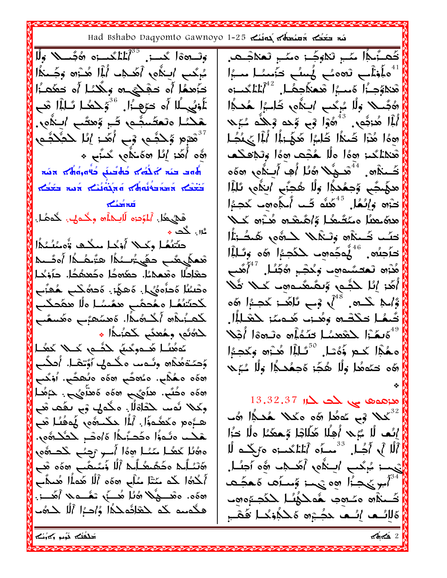Had Bshabo Dagyomto Gawnoyo 1-25 المُعْلَم بَعْيَكُمْ قَالَ Had Bshabo Dagyomto Gawnoyo 1-25 <u>وَلَــهِ مَا كَـــزِ ۚ تَكُلْمُلْكَـــزِهِ ۖ هُجَّــــلا وَلَا</u> تُحسَّنُهُا سَّــ وَتَدْوِجُـــ: مسَّــرِ تَعْدَجْــِحب  $\mathcal{L}$ مِأْفِأَب (مَاسِعٌ صَلَى الْمَسَاءِ) مِنْ مِنْسَمَّل مِسْبَرًا مِنْ  $\int_0^{41}$ مُبِكَبٍ ابِنَدْهِ أَهْلِيهِ اُلْمَ هُنْزَهِ وَجَعَدًا هَٰذَوۡجَــٰٓۥۢٚڵۿٮـــٰٓ؞ؙۭڵۿڡۼؘۮؙجعُــل ۗ الْمَلْكُــــزه حَزَهها أَه حَفِّلَيْ مِنْ وَلَمْنَا أَه حَمَّدَ ا نَّأُوْنُيِّسُلَا أَه حَرِّفٍۗ ۚ أَ. <sup>36</sup>تِكِحْمَٰا نَّـالِمَا هَبِ هُجَـــلا وَلَا يُبِكَبِ /بِـنُأهِر خَاـــُ;ا ـهُـــجُا!<br>اُبْلَا هُـٰٓزَهُو ۚ. <sup>دَهُ</sup>وۡ! وۡبِ وَجِدہِ وَجِلاَّہ ـُـٰٓئِـلا لْمَلْأَمَا هَتْمَتّْشُمْ فَمِ وَْهِقُبِ ٱبْنُأُورِ. هَا هُنْ أَلْمًا قَلْبُهِ! هَيْمَا إِلَى الْمَحْنَا أَيْلًا يَهُمْ أَهْمَا <sup>37</sup>َهْوَمِ وَلِحَجُـمٍ. وَجِبِ أُهَدِ إِبْلاً لِحَجَّلَجُـمِ هُ هُ أُهُدَ إِلَٰا هِهَٰنَدُومٍ كُنُنَى \* هَٰذَالَكُمْ: 30\$ هَالُّا ـهُجْت 30\$ وَلَـٰكِنَاكُـهَـــ شَمْلَاه ِ <sup>44</sup>شَمْلا هُنَّا أُفِّ أَبِنَّهُو ِ هَهُه سَنَۃ سَدَ مُحَدُّ مُحَدِّدٌ مُحَدِّدٌ مُحَدِّدٌ مَنْ مَحَدِّدٌ مِنْ مَحْدَّدٌ هِجُبِجَبِ وَجِعُدِيَّا وِلَّا هُجِزَبِ /بِكْرِي تَلِلَّا بحثيث ساء بحثافية والمشعبه بحثت َدْرُه وَإِنُ**مُ**ا لَ<sup>45</sup>مَّثَه ثَب أَبْدَه و كَجِبُرا  $\mathcal{L}$   $\mathcal{L}$   $\mathcal{L}$ فَعْيُهُا. أَلْمُزْدَه لَّايِـهْلُه وِكُـولى. كُوصًا. هدَهُ عِمَلَ مَمُتَّصَلَ وَاهُتِشَدِهِ هُـُوَ كَــلا ڈال گُد \* خَفْ خَمْلَاهِ وَتَـٰثَلُكُمْ لِحَـٰهُم هَمْخُـٰ;لَٰہُ ا حَتَنَتُهُا وَحَكَّ أَوْحُلَ مِكْدٍ وَّْوَمُنُمُّلًا حَاجَبُه .  $\mathring{\mathfrak{g}}^{46}$ هُجُمهِ حَكَجَةٍ اللَّهُ وَيُطَلِّلُ مَسْمَلَ الْمَسْمَنُ هَ الْمُنْسَبِّرِهِمْ سِنْفِرِهُمْ مَنْ مُنْزَرَه لَعْصَمُدْمِهِ وَحُجْمٍ رَهُ كُنُا لَمْ أَيْرُهُم حعْاجِلًا ومْعِجْيًا. حِعَمِيجًا وجَعِيهُجًا. حَزَوْجُهِا ەتْسُلَّا ەَدەْئى\. ەَھۇ: . ەَدەڭكى ھُھَنَّب كْحَتَنَعُا مَعُحِمَّبِ هِعَسُا مِلَّا هِجَحَكْبِ َثَّىعُـا حَكْثَــُ وَهُــٰٓنِ هَـٰـٰمَـٰٓنَ كَـٰهَـٰلِهُۚالِ َكْتَمَاءُهُ *أَ*كْتَمُكُمْ!. ەَھسَّتْتَ مِكْسَمَّب لِحَمُنُو وِهُعِنَى لَكُفُوطُ \*  $\sim$ ةُنْ أَنْ كَتَبْ مَنْ الْمَلْمَ مَنْ أَنْ أَيْرِ  $\zeta^{49}$ حَمُّسُا مَحْدِكِمَ لِمُحْمَدٍ كَمِلا كَمُخَا معُجْل كَبِيرٍ وَّوْسًا. <sup>50</sup>تُبَلَّذُلِ هُنْزُوهِ وَكَجِبُرا وَحَمّةهُدّاه ونُــه ــه دكــه له أوّتـهــا. أُهكّب هَه حَمَمُعا وِلًا هُجَا هَجِعُدِجًا وِلًا سُبَى ۖ هەَه مەلگى. مئەشّى ھەَه مِنُھصَّى. اُوْكَىب هُمْ مَا مِنْهُمْ مَا مِنْ مِنْهُمْ مَوْمَ مَعْمَلِهِ مَا مِنْ مَا مِنْهُمْ مِنْ من 32.37 إلى محمد المعنى وكَلا نُەمە حْثَاةْلًا. ەڭەلى ۋې ىفَھ شَى  $\frac{1}{2}$ كلا  $\frac{2}{3}$  كەهُدا ، مَدا مُدى مُدىمًا ، مَدى  $\frac{1}{2}$ هِ بِّهِ مَكْشُوذًا. أَلَمَّا حَكْسُوهُ لِمُوفُلًا هُبِ إِنَّمِ لَا يُزِيدِ أُهِلًا هَٰذَلِكَا وَجِمِعَنَا وَلَا حَزَّا ـقطـــا ونُــووُّل وَحُصَّرُهُا وَاوْضَرِ لِلطَّلْحُوَى. أَلَّا }، أَجُـل فَصْدَه أَمْلَمْدَه وَرَجَّد لَّا ەھُلا كَعْـا مَنْـا ھِەْا أُسر رُحِبُ ݣَدْـەُەر ھَنْـَأَىـدْ ەَحَھَـىعُــلَّـدْ ٱلْلَـ وَُـتَّـمَنَـــح مَا مَدَى شَــح تَيْمِسْ مُبِكْسٍ ابْتَكْلِمِ أَهْسَكِ وَقَاهِ أَجِئْسًا. أَكْدُّا كُمْ مَتْلَا مُلْعِ 200 ٱلْا هُمَاْ! هُمِدًّے أَسِرٍ بَهِجَمُ الْمَحِيرَ وَمِنَا مِنْ مَعْلَمَتَ 500. 50 مِنْ مِثْلاً \$مُلْ مُسْبَقِ تَعْسَمَدْ أَهُسْبَ. ضَنْلُاهِ مَسْهَدٍ هُمَكُهُما كَلَّكِمَّوْهِ فَحَدْمَتْ كُمْ خَفَائُمْجَدًا وُاُدَرًا أَلَّا جَدَّةً أَهَالِلُــم إلـُــم حَجَّـبْهِ هَــٰـٰكِمْوَحُــا فَقَــبِ كَتْكُتْكَ خُوْمٍ وَكَاوُنْكُمْ  $\mathcal{L}$ g $\mathcal{L}$  2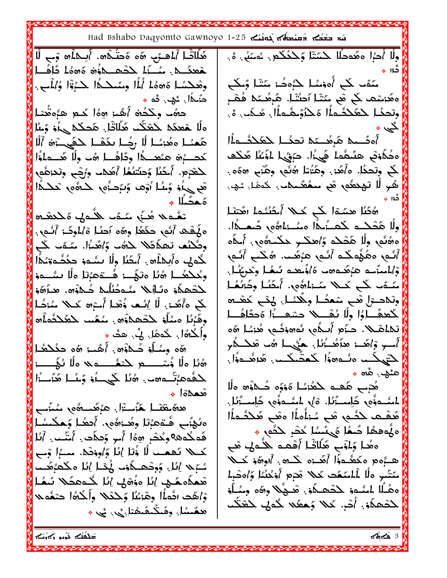Had Bshabo Daqyomto Gawnoyo 1-25 المُعْلَم بَعْضُهُمْ قَالَ Had Bshabo Daqyomto Gawnoyo 1-25 هَٰلَاتَّا ٱلمصبَّى هَٰه هَضَّـدَّه. أَيـدَلَّه وَ لَا وِلًا أَدَٰرًا وَهُوَجَلًا ۖ حَمَّتْنَ وَجَحَدُكُمْ . مُمَنَىٰ . وَ . هَعنَـــمْ. مُـــزًا للصَّــمْ وَهُ وَهُ مَا قَاهَــا مَمَّد كَّى أُەفِسُل كَبُوكُ: مَتْلُ وُحكَّى وقْعَصْبًا وَهُمَا أَمْلًا وَسُجَدُوا حَبْوَا وُٱلْمَبِ. ەھُزىتھا كَى مْيْ سَتْلَا اُحَتْنَا. هَرِهُـــَـٰهَ هُهْــر جَنُجاً لِي بَيْءِ وَ \* وتَحَدُّل حَمَّحَدَّدَمُّا مَحْزَوُجِّدَاً. مَحَمَّد. هُ. حھُب وڭگُنُّ أُهُمْ هوُا كُبْعِ هِرُوَتُعْدَلُ<mark>،</mark> ەلْل ھَعدُمْ حْعْتُک مَكَلاتْا. مَٰحكُمْ جِبُرْفَ وَّسُلَّا أُهضُــما هُـرِهُــمَا تَحكُــا لِلطَّلَافُــهِ/ْا هَمُـُـا هِ هُدْـُـا لَٰا رَجُـا بِكَفْـا بِكَهْـِـرْقَ ٱلْا هَكُمْوْثَى هِنُبِهَمْ هَيْ;ًا. حَبِّقُ\$ لِمَفْتَكَ هَكَكَ كْحَسّْرُهُ عِنْعَـــدًا وَثَافُـــا هُــْ وِلًا هُـــواذُا | لَّى وتَحدُّا. ه}َهُٰ: وهُنُّتَا هُنُّه وهُنْ ههَ ه لكَثَرَهِ. أَمَثَلُا وُحتَنَتُهُا أَهَٰذَا وَرُضٍ وِتَدْهُمِ ۖ ھُو لَّا تَهَجَعُو، هُو سَعُعَـُـمات. حُممًا. يْهِ. تَعِي جِدَّةٍ وَسُلَّا ٱوْهَا وَبَاحِنَّهِ ۖ حَدَّهُم تَحَكَّمُ ا ەْھەُللە هُضًا همَّـةا لَكَے كَــلا أَحَقُدُه! اهْتِنْـا تَعْدِيهُ مُنَّى مَئَمَّتَ بِالْتَّامِ مَكْتَفَتَّةَ وِلَا هَٰٓتَكُــهِ كَعَــزُبِّكَٰا مِنْــزَاهُوںٖ تَـبِعَــدًا. هِ يُفْتَ أَنَّهِ حَكْفًا وِهُمْ أَحَلًا ةَ ُالْمُوَكَّـٰٓ أَنَّـهِ . ەھُنُّە ولَّا ھُڪْھ وَُ/ھڱـر ھگــھُەر. أَيكُه وفَكْتُم تَعْكَمُكُلَّا لِحَمَّد وَّامَّدُوا. مَنْدَد كُلِّ آئم، ەمْؤْمَكْمْ آئىم مْرْهَـْتْ. ھُكْبْ آئىم، لِكُمْلِ وأَبْطَأُهِ . أَيضُلُ ولًا بِشُوذٍ حَذُجُوبُكُم وْٱلمنُّت هَزْهُـــه ﴾ ﴾ أُوُّــعـــه تَــمُــل وتَــويُـُـل. وحُكمُــا هُنُا هِنْهُـــ: فُــتحمُرْنَا هِلًا بِشُــوز سَّمَّ كَبِ كَــلا سَّــٰٓ;اهُٯِ. أَمَثُـٰأَ وِحَٰ;تُـهُـأَ َكْتُعِكُوْ وَيُـأَ*لُ*كْ مُتَوَجُلُكُ جُكْوُوهِ. مِدِرُوُو وتكدع قب شعفا وحُقتان لحقو لحقت لَكُمْ وَأَهَدَىٰ. لَٰلَّا إِنَّـٰهَا ذُهْلَ أَسْرُهِ كَتَلًا مُنْزَكُمْ ا وفَرُبُل مِبْلُغٍ حَضْعَهْوُهِ . سُمِّب حَعَدَهُمْهِ تَمْلَمْتُ دَرَّمَ أَسَلُمَ شُورْشُمٍ هُزْسًا وَهُ واُلْحُدُّا. لَحْمَل لٌ. هِتْ هِ أُسِيرِ وْاهَدِ: هزَهُدُرُنَا. هزُيُّها هُبَ هَذَكُمْ هَٰه وِسُلُوْ حُكُوْهِ. أَهُــز هَٰه حَكُكْمَا َكْتَ<sub>ْلَ</sub>كُسَا ەتُسەھۇُل كَ**ْهَتُ**مَكَّسَا. هُرْهُسُمۇُل. مٹیں هُو پ لْحَقُمْ رَبُّ ـُـمِّ مِنْ الْكَيْبُ وَ وَّسُـٰ الْمُرْسَرُ ا هُتِبِ هَدے حمدُنا هَوْهِ هُـــدوْه هالُا قعماة ا لمُمْـوْوْمِ كَاِمـِـزَّنُل. وْلِي لِمِمْـوْوْمِ كَاِمــزَّنُل. هدَهُ مَعْتَسَا هُنُ مِنْ أَنْ مَرْهَدٍ هُوَ مُمَنُوب هُـقَـم حُدُم، مْبِ سُـٰٓأُه أُا هَي هَٰـحُدُـمأَا ا ەنْجْنَب فَـتَحَبُّلَا وِهُــتَوَّى، أَحصُّـا وَحكَــسُــا • رمِفْط بِصَدْ اِسْتَرِهْ اِهْتْ اهْعَمْوُه فَمكْمِعِهُ وِحُثْرِ هِمَّا أُسِ وَمِكَّفٍ. أَسَّبٍ. أَبَلُ وهُـا وَازْبَ هَٰلَاتْـا أَفْعـه ۚ هُـُولِ مْبِ كَـــلا تَـْقِعَــد لَّا ذُنَا إِنَّا ذَاوِذِتْنَا. منْ إِ وَبِ هِ يُومِ وَكَعْدُوَا أَهُدَهِ كَلْـِهِ ﴾ أَاوِهَٰوَ كَلّـَلا سُرَىٰ إِبْلَ. وُوشَهِيكُوْبَ يُحْبَلُ إِبْلَ مَكْحَرُهُـب مَتَسُو هالْا لْمُلَمَّعُت كَلا قَتِرَهِ أَوْكُنُنَا وَّاهِتْبِطْ تَعمَلُوهُمْ إِنَّا وَذُوْبًا إِنَّا كُـُوهِكُمْ تَنفُـأُ ەھُـُلا لمىئُــەۈ كـــْــھــكۈ. ئىـــوْكلا وقە وِمُــأَوْ وْاهُت اثْمَلًا وِهْبْنُا وَحْدْلا وِلَٰكُهُا حِتْفُوبِ لْحَصْكَاوْ. أُصْرٍ. كَمْلا وَحْكَلَا كُمْلَى لْمَقْلُكَ ه**مَ**سُل وصَّنٌدهَيهُ يَا فِي مَنْ مَنْ اللهِ عَلَيْهِ مِنْ الْمَحْمَدِينَ مِنْ الْمَحْمَدِينَ مِنْ كَنْكُمْ دُوْمٍ وْكَيْرُسُكْمْ  $\mathcal{R}$ g $\mathcal{R}$  3